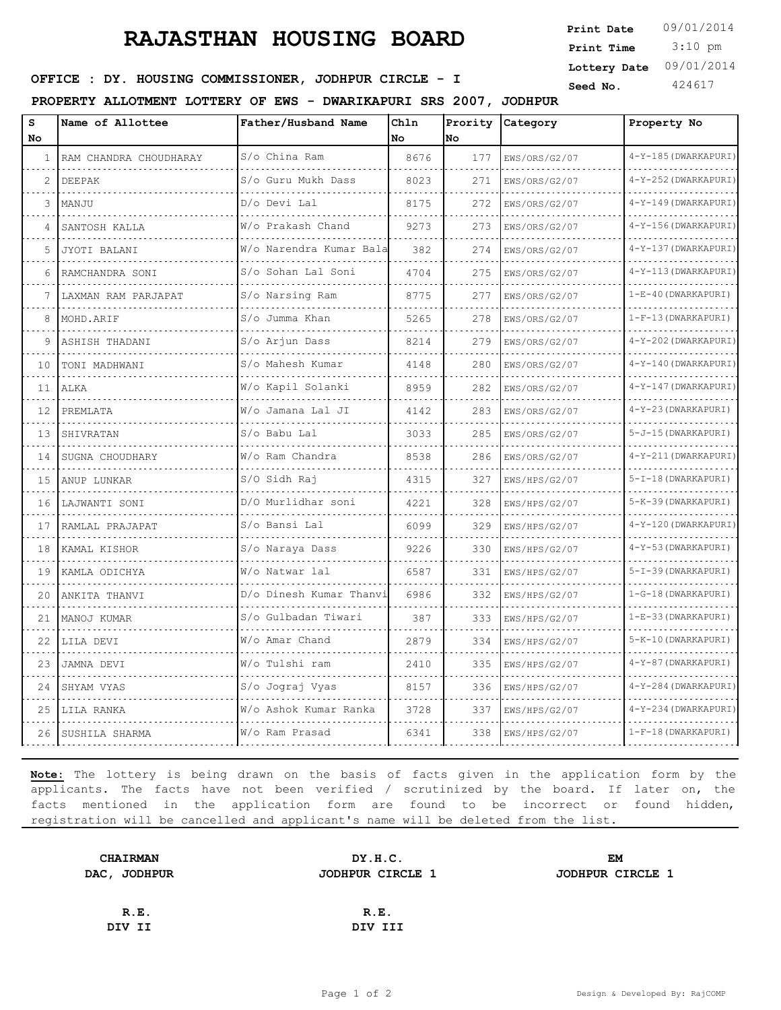# **RAJASTHAN HOUSING BOARD**

 3:10 pm **Print Date Print Time Lottery Date** 09/01/2014

## **SEED : DY. HOUSING COMMISSIONER, JODHPUR CIRCLE - I** Seed No. 424617

**PROPERTY ALLOTMENT LOTTERY OF EWS - DWARIKAPURI SRS 2007, JODHPUR**

| s<br>No        | Name of Allottee       | Father/Husband Name     | Chln<br>No. | Prority<br>No | Category      | Property No           |
|----------------|------------------------|-------------------------|-------------|---------------|---------------|-----------------------|
| -1.            | RAM CHANDRA CHOUDHARAY | S/o China Ram           | 8676        | 177           | EWS/ORS/G2/07 | 4-Y-185 (DWARKAPURI)  |
| $\overline{2}$ | <b>DEEPAK</b>          | S/o Guru Mukh Dass      | 8023        | 271           | EWS/ORS/G2/07 | 4-Y-252 (DWARKAPURI)  |
| 3              | MANJU                  | D/o Devi Lal            | 8175        | 272           | EWS/ORS/G2/07 | 4-Y-149 (DWARKAPURI)  |
| 4              | SANTOSH KALLA          | W/o Prakash Chand       | 9273        | 273           | EWS/ORS/G2/07 | 4-Y-156 (DWARKAPURI)  |
| 5              | .<br>JYOTI BALANI      | W/o Narendra Kumar Bala | 382         | 274           | EWS/ORS/G2/07 | 4-Y-137 (DWARKAPURI)  |
| 6              | RAMCHANDRA SONI        | S/o Sohan Lal Soni      | 4704        | 275           | EWS/ORS/G2/07 | 4-Y-113 (DWARKAPURI)  |
| 7              | LAXMAN RAM PARJAPAT    | S/o Narsing Ram         | 8775        | 277           | EWS/ORS/G2/07 | $1-E-40$ (DWARKAPURI) |
| 8              | MOHD. ARIF             | S/o Jumma Khan          | 5265        | 278           | EWS/ORS/G2/07 | 1-F-13 (DWARKAPURI)   |
| 9              | ASHISH THADANI         | S/o Arjun Dass          | 8214        | 279           | EWS/ORS/G2/07 | 4-Y-202 (DWARKAPURI)  |
| 10             | TONI MADHWANI          | S/o Mahesh Kumar        | 4148        | 280           | EWS/ORS/G2/07 | 4-Y-140 (DWARKAPURI)  |
| 11             | ALKA                   | W/o Kapil Solanki       | 8959        | 282           | EWS/ORS/G2/07 | 4-Y-147 (DWARKAPURI)  |
| 12             | PREMLATA               | W/o Jamana Lal JI       | 4142        | 283           | EWS/ORS/G2/07 | 4-Y-23 (DWARKAPURI)   |
| 13             | SHIVRATAN<br>.         | S/o Babu Lal<br>.       | 3033        | 285           | EWS/ORS/G2/07 | 5-J-15 (DWARKAPURI)   |
| 14             | SUGNA CHOUDHARY        | W/o Ram Chandra         | 8538        | 286           | EWS/ORS/G2/07 | 4-Y-211 (DWARKAPURI)  |
| 15             | ANUP LUNKAR            | S/O Sidh Raj            | 4315        | 327           | EWS/HPS/G2/07 | 5-I-18 (DWARKAPURI)   |
| 16             | LAJWANTI SONI          | D/O Murlidhar soni      | 4221        | 328           | EWS/HPS/G2/07 | 5-K-39 (DWARKAPURI)   |
| 17             | RAMLAL PRAJAPAT        | S/o Bansi Lal           | 6099        | 329           | EWS/HPS/G2/07 | 4-Y-120 (DWARKAPURI)  |
| 18             | KAMAL KISHOR           | S/o Naraya Dass         | 9226        | 330           | EWS/HPS/G2/07 | 4-Y-53 (DWARKAPURI)   |
| 19             | KAMLA ODICHYA          | W/o Natwar lal          | 6587        | 331           | EWS/HPS/G2/07 | 5-I-39 (DWARKAPURI)   |
| 20             | ANKITA THANVI          | D/o Dinesh Kumar Thanvi | 6986        | 332           | EWS/HPS/G2/07 | 1-G-18 (DWARKAPURI)   |
| 21             | MANOJ KUMAR            | S/o Gulbadan Tiwari     | 387         | 333           | EWS/HPS/G2/07 | 1-E-33 (DWARKAPURI)   |
| 22             | LILA DEVI              | W/o Amar Chand          | 2879        | 334           | EWS/HPS/G2/07 | 5-K-10 (DWARKAPURI)   |
| 23             | JAMNA DEVI             | W/o Tulshi ram          | 2410        | 335           | EWS/HPS/G2/07 | 4-Y-87 (DWARKAPURI)   |
| 24             | SHYAM VYAS             | S/o Jograj Vyas         | 8157        | 336           | EWS/HPS/G2/07 | 4-Y-284 (DWARKAPURI)  |
| 25             | LILA RANKA             | W/o Ashok Kumar Ranka   | 3728        | 337           | EWS/HPS/G2/07 | 4-Y-234 (DWARKAPURI)  |
| 26             | SUSHILA SHARMA         | W/o Ram Prasad          | 6341        | 338           | EWS/HPS/G2/07 | $1-F-18$ (DWARKAPURI) |

**Note:** The lottery is being drawn on the basis of facts given in the application form by the applicants. The facts have not been verified / scrutinized by the board. If later on, the facts mentioned in the application form are found to be incorrect or found hidden, registration will be cancelled and applicant's name will be deleted from the list.

| <b>CHAIRMAN</b> | DY.H.C.          | EM                      |  |  |
|-----------------|------------------|-------------------------|--|--|
| DAC, JODHPUR    | JODHPUR CIRCLE 1 | <b>JODHPUR CIRCLE 1</b> |  |  |
|                 |                  |                         |  |  |
| R.E.            | R.E.             |                         |  |  |
| DIV II          | DIV III          |                         |  |  |
|                 |                  |                         |  |  |